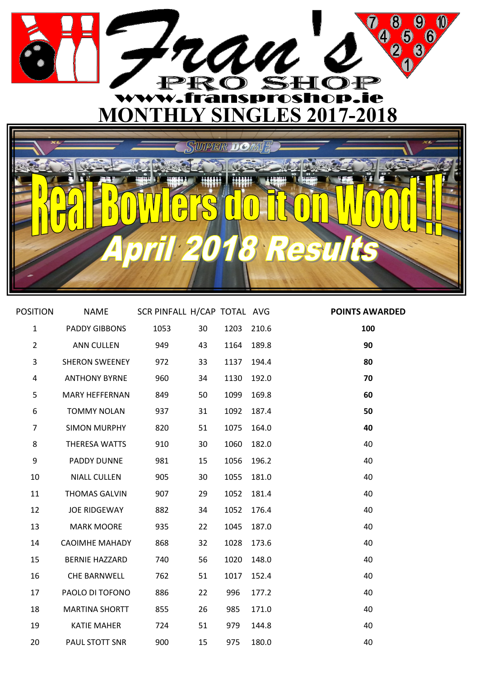

| <b>POSITION</b> |                       | NAME SCR PINFALL H/CAP TOTAL AVG |    |            |       | <b>POINTS AWARDED</b> |
|-----------------|-----------------------|----------------------------------|----|------------|-------|-----------------------|
| $\mathbf{1}$    | PADDY GIBBONS         | 1053                             | 30 | 1203 210.6 |       | 100                   |
| $\overline{2}$  | ANN CULLEN            | 949                              | 43 | 1164 189.8 |       | 90                    |
| 3               | SHERON SWEENEY        | 972                              | 33 | 1137       | 194.4 | 80                    |
| 4               | <b>ANTHONY BYRNE</b>  | 960                              | 34 | 1130       | 192.0 | 70                    |
| 5               | <b>MARY HEFFERNAN</b> | 849                              | 50 | 1099       | 169.8 | 60                    |
| 6               | <b>TOMMY NOLAN</b>    | 937                              | 31 | 1092       | 187.4 | 50                    |
| $\overline{7}$  | SIMON MURPHY          | 820                              | 51 | 1075       | 164.0 | 40                    |
| 8               | THERESA WATTS         | 910                              | 30 | 1060       | 182.0 | 40                    |
| 9               | PADDY DUNNE           | 981                              | 15 | 1056       | 196.2 | 40                    |
| 10              | <b>NIALL CULLEN</b>   | 905                              | 30 | 1055       | 181.0 | 40                    |
| 11              | <b>THOMAS GALVIN</b>  | 907                              | 29 | 1052       | 181.4 | 40                    |
| 12              | JOE RIDGEWAY          | 882                              | 34 | 1052       | 176.4 | 40                    |
| 13              | <b>MARK MOORE</b>     | 935                              | 22 | 1045       | 187.0 | 40                    |
| 14              | <b>CAOIMHE MAHADY</b> | 868                              | 32 | 1028       | 173.6 | 40                    |
| 15              | BERNIE HAZZARD        | 740                              | 56 | 1020       | 148.0 | 40                    |
| 16              | CHE BARNWELL          | 762                              | 51 | 1017       | 152.4 | 40                    |
| 17              | PAOLO DI TOFONO       | 886                              | 22 | 996        | 177.2 | 40                    |
| 18              | <b>MARTINA SHORTT</b> | 855                              | 26 | 985        | 171.0 | 40                    |
| 19              | <b>KATIE MAHER</b>    | 724                              | 51 | 979        | 144.8 | 40                    |
| 20              | PAUL STOTT SNR        | 900                              | 15 | 975        | 180.0 | 40                    |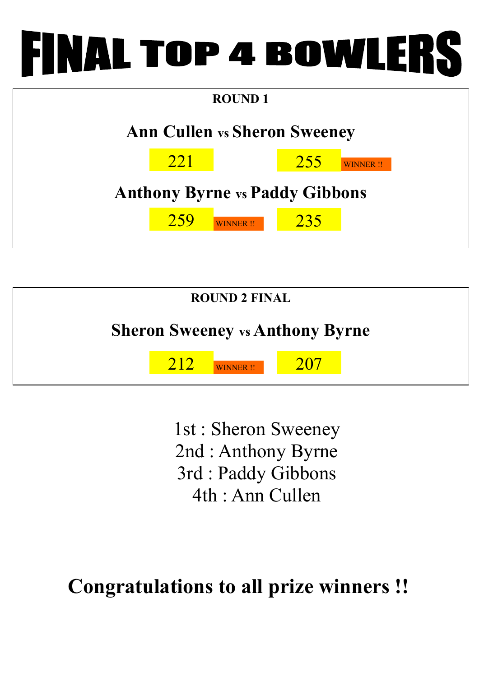## **INAL TOP 4 BOWLERS**





1st : Sheron Sweeney 2nd : Anthony Byrne 3rd : Paddy Gibbons 4th : Ann Cullen

## **Congratulations to all prize winners !!**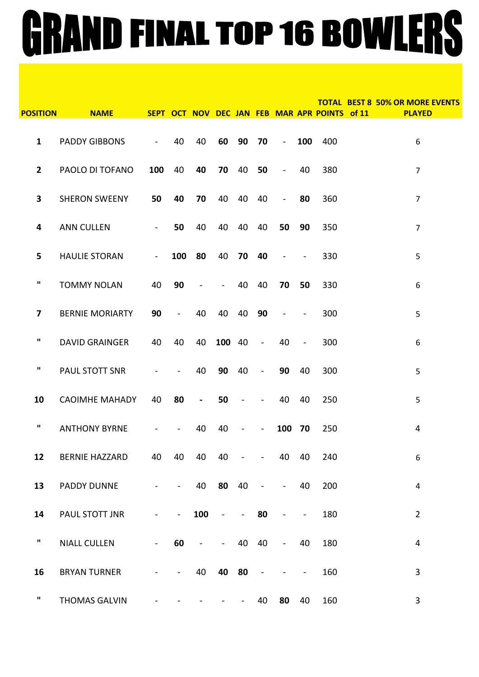## GRAND FINAL TOP 16 BOWLERS

| <b>POSITION</b>         | <b>NAME</b>            |                          |                |                |                |                              |                |                 |                | SEPT OCT NOV DEC JAN FEB MAR APR POINTS of 11 | <b>TOTAL BEST 8 50% OR MORE EVENTS</b><br><b>PLAYED</b> |
|-------------------------|------------------------|--------------------------|----------------|----------------|----------------|------------------------------|----------------|-----------------|----------------|-----------------------------------------------|---------------------------------------------------------|
| $\mathbf{1}$            | <b>PADDY GIBBONS</b>   | $\blacksquare$           | 40             | 40             |                | 60 90                        | 70             | $\sim 10^{-10}$ |                | 100 400                                       | 6                                                       |
| $\mathbf{2}$            | PAOLO DI TOFANO        | 100                      | 40             | 40             | 70             | 40                           | 50             | $\equiv$        | 40             | 380                                           | $\overline{7}$                                          |
| $\overline{\mathbf{3}}$ | <b>SHERON SWEENY</b>   | 50                       | 40             | 70             | 40             | 40                           | 40             | $\mathbb{L}^2$  | 80             | 360                                           | $\overline{7}$                                          |
| 4                       | <b>ANN CULLEN</b>      | $\blacksquare$           | 50             | 40             | 40             | 40                           | 40             | 50              | 90             | 350                                           | $\overline{7}$                                          |
| 5                       | <b>HAULIE STORAN</b>   | $\blacksquare$           | 100            | 80             | 40             | 70 40                        |                | $\sim$ $-$      | $\blacksquare$ | 330                                           | 5                                                       |
| ш                       | <b>TOMMY NOLAN</b>     | 40                       | 90             | $\blacksquare$ | $\sim 100$     | 40                           | 40             | 70              | 50             | 330                                           | 6                                                       |
| 7                       | <b>BERNIE MORIARTY</b> | 90                       | $\omega$       | 40             | 40             | 40                           | 90             | $\sim$ $-$      | $\blacksquare$ | 300                                           | 5                                                       |
| ш                       | <b>DAVID GRAINGER</b>  | 40                       | 40             | 40             | 100 40         |                              | $\sim$         | 40              | $\blacksquare$ | 300                                           | 6                                                       |
| ш                       | PAUL STOTT SNR         | $\overline{\phantom{a}}$ | $\blacksquare$ | 40             | 90             | 40                           | $\sim$         | 90              | 40             | 300                                           | 5                                                       |
| 10                      | <b>CAOIMHE MAHADY</b>  | 40                       | 80             | $\blacksquare$ | 50             |                              |                | 40              | 40             | 250                                           | 5                                                       |
| $\mathbf{u}$            | <b>ANTHONY BYRNE</b>   |                          | $\blacksquare$ | 40             | 40             | $\overline{\phantom{0}}$     | $\blacksquare$ | 100             | 70             | 250                                           | 4                                                       |
| 12                      | <b>BERNIE HAZZARD</b>  | 40                       | 40             | 40             | 40             | $\blacksquare$               | $\blacksquare$ | 40              | 40             | 240                                           | 6                                                       |
| 13                      | PADDY DUNNE            | $\blacksquare$           | $\blacksquare$ | 40             | 80             | 40                           | $\blacksquare$ | $\blacksquare$  | 40             | 200                                           | $\overline{\mathbf{4}}$                                 |
| 14                      | PAUL STOTT JNR         | $\blacksquare$           | $\blacksquare$ | 100            | $\blacksquare$ | $\qquad \qquad \blacksquare$ | 80             | $\blacksquare$  | $\blacksquare$ | 180                                           | $\overline{2}$                                          |
| ш                       | <b>NIALL CULLEN</b>    | $\blacksquare$           | 60             | $\blacksquare$ | $\blacksquare$ | 40                           | 40             | $\blacksquare$  | 40             | 180                                           | $\overline{4}$                                          |
| 16                      | <b>BRYAN TURNER</b>    | $\overline{\phantom{0}}$ | $\blacksquare$ | 40             | 40             | 80                           | $\blacksquare$ |                 | $\blacksquare$ | 160                                           | 3                                                       |
| $\mathbf{u}$            | <b>THOMAS GALVIN</b>   |                          |                |                |                |                              | 40             | 80              | 40             | 160                                           | 3                                                       |